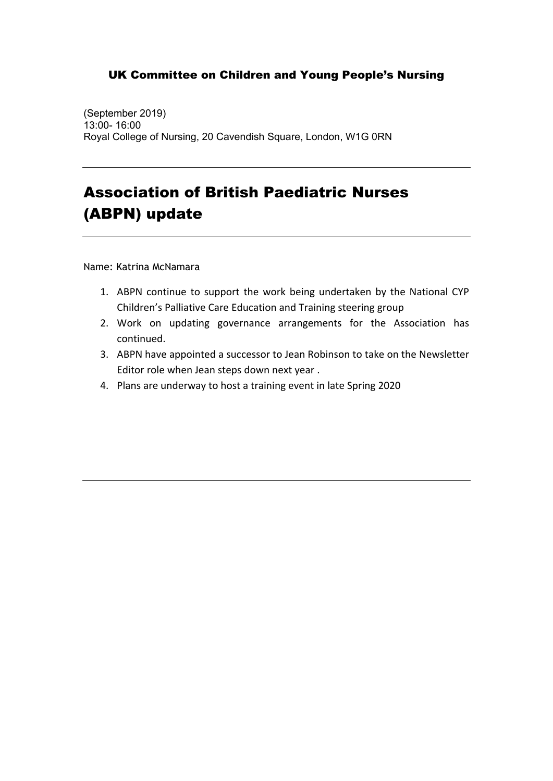(September 2019) 13:00- 16:00 Royal College of Nursing, 20 Cavendish Square, London, W1G 0RN

## Association of British Paediatric Nurses (ABPN) update

Name: Katrina McNamara

- 1. ABPN continue to support the work being undertaken by the National CYP Children's Palliative Care Education and Training steering group
- 2. Work on updating governance arrangements for the Association has continued.
- 3. ABPN have appointed a successor to Jean Robinson to take on the Newsletter Editor role when Jean steps down next year .
- 4. Plans are underway to host a training event in late Spring 2020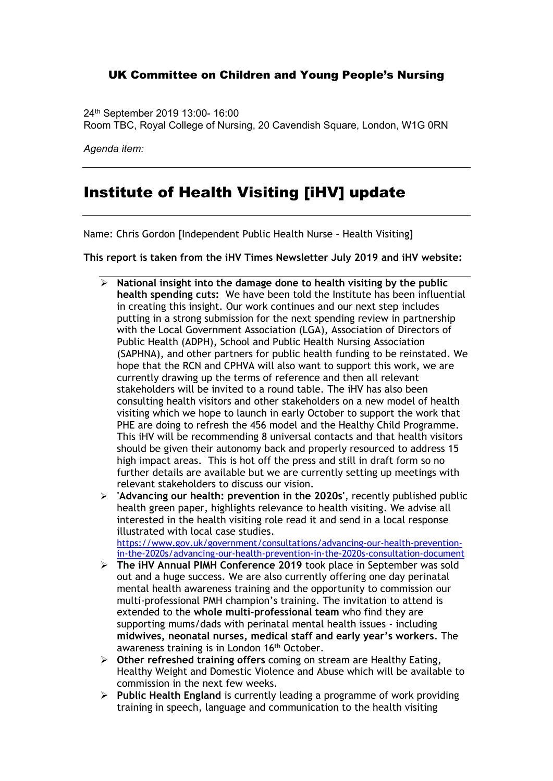24th September 2019 13:00- 16:00

Room TBC, Royal College of Nursing, 20 Cavendish Square, London, W1G 0RN

*Agenda item:* 

### Institute of Health Visiting [iHV] update

Name: Chris Gordon [Independent Public Health Nurse – Health Visiting]

**This report is taken from the iHV Times Newsletter July 2019 and iHV website:**

- **National insight into the damage done to health visiting by the public health spending cuts:** We have been told the Institute has been influential in creating this insight. Our work continues and our next step includes putting in a strong submission for the next spending review in partnership with the Local Government Association (LGA), Association of Directors of Public Health (ADPH), School and Public Health Nursing Association (SAPHNA), and other partners for public health funding to be reinstated. We hope that the RCN and CPHVA will also want to support this work, we are currently drawing up the terms of reference and then all relevant stakeholders will be invited to a round table. The iHV has also been consulting health visitors and other stakeholders on a new model of health visiting which we hope to launch in early October to support the work that PHE are doing to refresh the 456 model and the Healthy Child Programme. This iHV will be recommending 8 universal contacts and that health visitors should be given their autonomy back and properly resourced to address 15 high impact areas. This is hot off the press and still in draft form so no further details are available but we are currently setting up meetings with relevant stakeholders to discuss our vision.
- **'Advancing our health: prevention in the 2020s'**, recently published public health green paper, highlights relevance to health visiting. We advise all interested in the health visiting role read it and send in a local response illustrated with local case studies. https://www.gov.uk/government/consultations/advancing-our-health-preventionin-the-2020s/advancing-our-health-prevention-in-the-2020s-consultation-document
- **The iHV Annual PIMH Conference 2019** took place in September was sold out and a huge success. We are also currently offering one day perinatal mental health awareness training and the opportunity to commission our multi-professional PMH champion's training. The invitation to attend is extended to the **whole multi-professional team** who find they are supporting mums/dads with perinatal mental health issues - including **midwives, neonatal nurses, medical staff and early year's workers**. The awareness training is in London 16<sup>th</sup> October.
- **Other refreshed training offers** coming on stream are Healthy Eating, Healthy Weight and Domestic Violence and Abuse which will be available to commission in the next few weeks.
- **Public Health England** is currently leading a programme of work providing training in speech, language and communication to the health visiting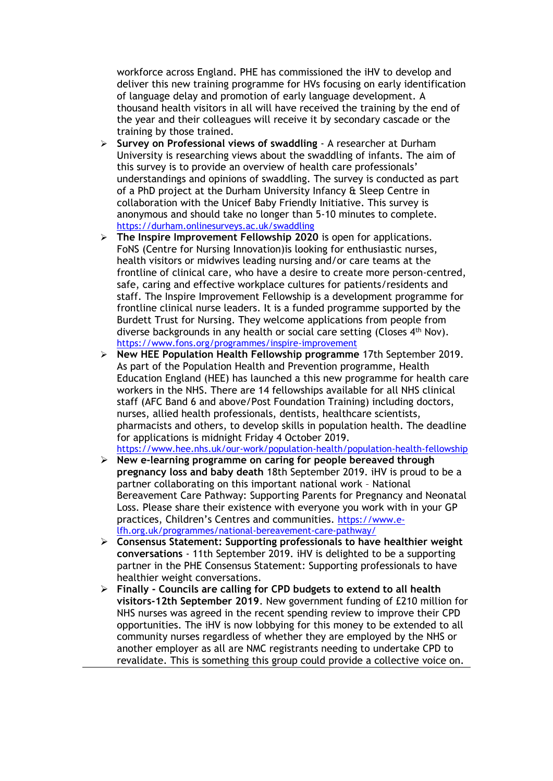workforce across England. PHE has commissioned the iHV to develop and deliver this new training programme for HVs focusing on early identification of language delay and promotion of early language development. A thousand health visitors in all will have received the training by the end of the year and their colleagues will receive it by secondary cascade or the training by those trained.

- **Survey on Professional views of swaddling** A researcher at Durham University is researching views about the swaddling of infants. The aim of this survey is to provide an overview of health care professionals' understandings and opinions of swaddling. The survey is conducted as part of a PhD project at the Durham University Infancy & Sleep Centre in collaboration with the Unicef Baby Friendly Initiative. This survey is anonymous and should take no longer than 5-10 minutes to complete. https://durham.onlinesurveys.ac.uk/swaddling
- **The Inspire Improvement Fellowship 2020** is open for applications. FoNS (Centre for Nursing Innovation)is looking for enthusiastic nurses, health visitors or midwives leading nursing and/or care teams at the frontline of clinical care, who have a desire to create more person-centred, safe, caring and effective workplace cultures for patients/residents and staff. The Inspire Improvement Fellowship is a development programme for frontline clinical nurse leaders. It is a funded programme supported by the Burdett Trust for Nursing. They welcome applications from people from diverse backgrounds in any health or social care setting (Closes 4th Nov). https://www.fons.org/programmes/inspire-improvement
- **New HEE Population Health Fellowship programme** 17th September 2019. As part of the Population Health and Prevention programme, Health Education England (HEE) has launched a this new programme for health care workers in the NHS. There are 14 fellowships available for all NHS clinical staff (AFC Band 6 and above/Post Foundation Training) including doctors, nurses, allied health professionals, dentists, healthcare scientists, pharmacists and others, to develop skills in population health. The deadline for applications is midnight Friday 4 October 2019. https://www.hee.nhs.uk/our-work/population-health/population-health-fellowship
- **New e-learning programme on caring for people bereaved through pregnancy loss and baby death** 18th September 2019. iHV is proud to be a partner collaborating on this important national work – National Bereavement Care Pathway: Supporting Parents for Pregnancy and Neonatal Loss. Please share their existence with everyone you work with in your GP practices, Children's Centres and communities. https://www.elfh.org.uk/programmes/national-bereavement-care-pathway/
- **Consensus Statement: Supporting professionals to have healthier weight conversations** - 11th September 2019. iHV is delighted to be a supporting partner in the PHE Consensus Statement: Supporting professionals to have healthier weight conversations.
- **Finally - Councils are calling for CPD budgets to extend to all health visitors-12th September 2019**. New government funding of £210 million for NHS nurses was agreed in the recent spending review to improve their CPD opportunities. The iHV is now lobbying for this money to be extended to all community nurses regardless of whether they are employed by the NHS or another employer as all are NMC registrants needing to undertake CPD to revalidate. This is something this group could provide a collective voice on.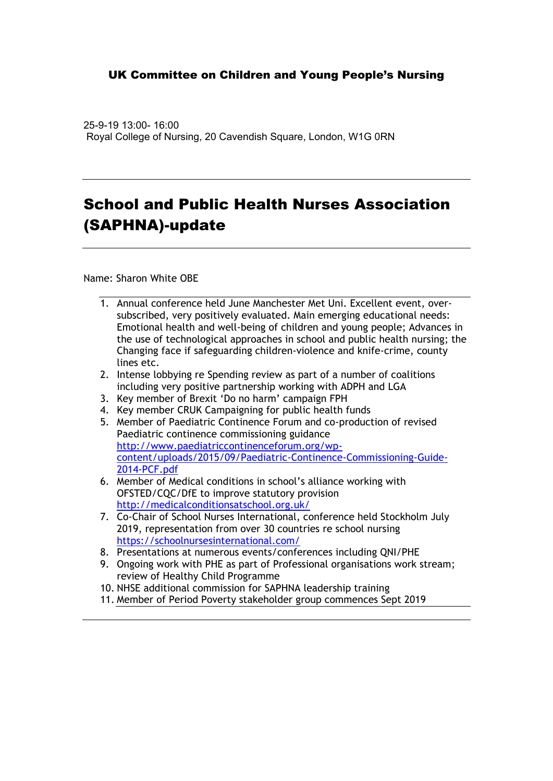25-9-19 13:00- 16:00 Royal College of Nursing, 20 Cavendish Square, London, W1G 0RN

## School and Public Health Nurses Association (SAPHNA)-update

Name: Sharon White OBE

- 1. Annual conference held June Manchester Met Uni. Excellent event, oversubscribed, very positively evaluated. Main emerging educational needs: Emotional health and well-being of children and young people; Advances in the use of technological approaches in school and public health nursing; the Changing face if safeguarding children-violence and knife-crime, county lines etc.
- 2. Intense lobbying re Spending review as part of a number of coalitions including very positive partnership working with ADPH and LGA
- 3. Key member of Brexit 'Do no harm' campaign FPH
- 4. Key member CRUK Campaigning for public health funds
- 5. Member of Paediatric Continence Forum and co-production of revised Paediatric continence commissioning guidance http://www.paediatriccontinenceforum.org/wpcontent/uploads/2015/09/Paediatric-Continence-Commissioning-Guide-2014-PCF.pdf
- 6. Member of Medical conditions in school's alliance working with OFSTED/CQC/DfE to improve statutory provision http://medicalconditionsatschool.org.uk/
- 7. Co-Chair of School Nurses International, conference held Stockholm July 2019, representation from over 30 countries re school nursing https://schoolnursesinternational.com/
- 8. Presentations at numerous events/conferences including QNI/PHE
- 9. Ongoing work with PHE as part of Professional organisations work stream; review of Healthy Child Programme
- 10. NHSE additional commission for SAPHNA leadership training
- 11. Member of Period Poverty stakeholder group commences Sept 2019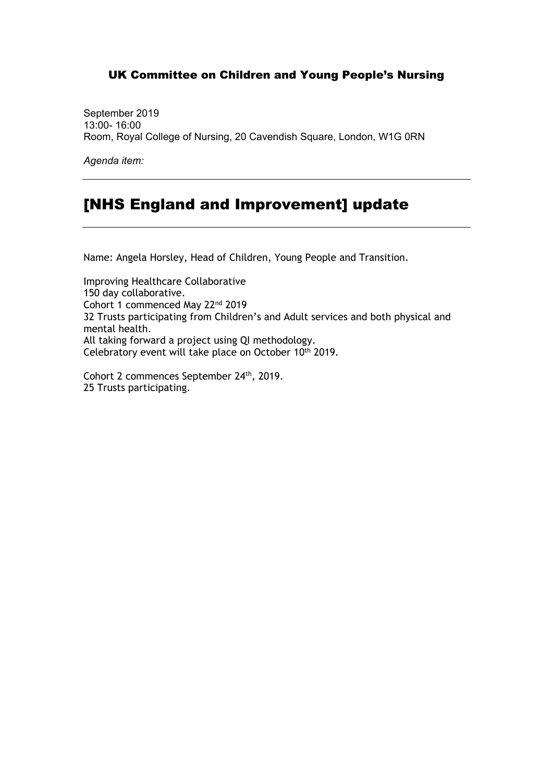September 2019 13:00- 16:00 Room, Royal College of Nursing, 20 Cavendish Square, London, W1G 0RN

*Agenda item:*

### [NHS England and Improvement] update

Name: Angela Horsley, Head of Children, Young People and Transition.

Improving Healthcare Collaborative 150 day collaborative. Cohort 1 commenced May 22nd 2019 32 Trusts participating from Children's and Adult services and both physical and mental health. All taking forward a project using QI methodology. Celebratory event will take place on October 10<sup>th</sup> 2019.

Cohort 2 commences September 24th, 2019. 25 Trusts participating.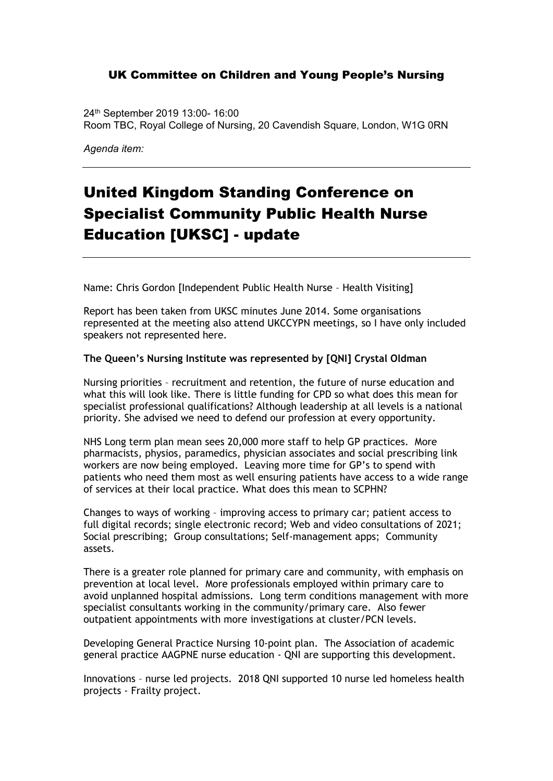24th September 2019 13:00- 16:00 Room TBC, Royal College of Nursing, 20 Cavendish Square, London, W1G 0RN

*Agenda item:* 

# United Kingdom Standing Conference on Specialist Community Public Health Nurse Education [UKSC] - update

Name: Chris Gordon [Independent Public Health Nurse – Health Visiting]

Report has been taken from UKSC minutes June 2014. Some organisations represented at the meeting also attend UKCCYPN meetings, so I have only included speakers not represented here.

#### **The Queen's Nursing Institute was represented by [QNI] Crystal Oldman**

Nursing priorities – recruitment and retention, the future of nurse education and what this will look like. There is little funding for CPD so what does this mean for specialist professional qualifications? Although leadership at all levels is a national priority. She advised we need to defend our profession at every opportunity.

NHS Long term plan mean sees 20,000 more staff to help GP practices. More pharmacists, physios, paramedics, physician associates and social prescribing link workers are now being employed. Leaving more time for GP's to spend with patients who need them most as well ensuring patients have access to a wide range of services at their local practice. What does this mean to SCPHN?

Changes to ways of working – improving access to primary car; patient access to full digital records; single electronic record; Web and video consultations of 2021; Social prescribing; Group consultations; Self-management apps; Community assets.

There is a greater role planned for primary care and community, with emphasis on prevention at local level. More professionals employed within primary care to avoid unplanned hospital admissions. Long term conditions management with more specialist consultants working in the community/primary care. Also fewer outpatient appointments with more investigations at cluster/PCN levels.

Developing General Practice Nursing 10-point plan. The Association of academic general practice AAGPNE nurse education - QNI are supporting this development.

Innovations – nurse led projects. 2018 QNI supported 10 nurse led homeless health projects - Frailty project.